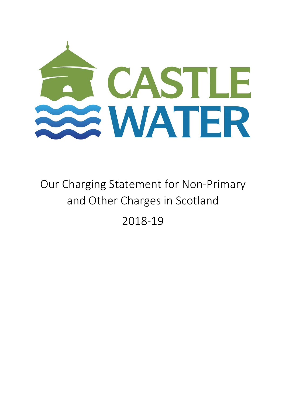

Our Charging Statement for Non-Primary and Other Charges in Scotland 2018-19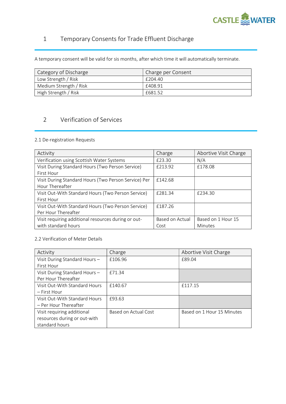

# 1 Temporary Consents for Trade Effluent Discharge

A temporary consent will be valid for sis months, after which time it will automatically terminate.

| Category of Discharge  | Charge per Consent |
|------------------------|--------------------|
| Low Strength / Risk    | £204.40            |
| Medium Strength / Risk | £408.91            |
| High Strength / Risk   | £681.52            |

# 2 Verification of Services

## 2.1 De-registration Requests

| Activity                                             | Charge          | Abortive Visit Charge |
|------------------------------------------------------|-----------------|-----------------------|
| Verification using Scottish Water Systems            | £23.30          | N/A                   |
| Visit During Standard Hours (Two Person Service)     | £213.92         | £178.08               |
| First Hour                                           |                 |                       |
| Visit During Standard Hours (Two Person Service) Per | £142.68         |                       |
| Hour Thereafter                                      |                 |                       |
| Visit Out-With Standard Hours (Two Person Service)   | £281.34         | £234.30               |
| First Hour                                           |                 |                       |
| Visit Out-With Standard Hours (Two Person Service)   | £187.26         |                       |
| Per Hour Thereafter                                  |                 |                       |
| Visit requiring additional resources during or out-  | Based on Actual | Based on 1 Hour 15    |
| with standard hours                                  | Cost            | Minutes               |

### 2.2 Verification of Meter Details

| Activity                      | Charge               | Abortive Visit Charge      |
|-------------------------------|----------------------|----------------------------|
| Visit During Standard Hours-  | £106.96              | £89.04                     |
| First Hour                    |                      |                            |
| Visit During Standard Hours-  | £71.34               |                            |
| Per Hour Thereafter           |                      |                            |
| Visit Out-With Standard Hours | £140.67              | £117.15                    |
| – First Hour                  |                      |                            |
| Visit Out-With Standard Hours | £93.63               |                            |
| – Per Hour Thereafter         |                      |                            |
| Visit requiring additional    | Based on Actual Cost | Based on 1 Hour 15 Minutes |
| resources during or out-with  |                      |                            |
| standard hours                |                      |                            |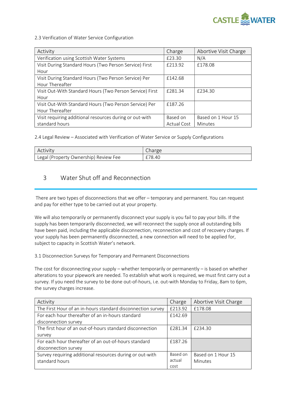

#### 2.3 Verification of Water Service Configuration

| Activity                                                 | Charge             | Abortive Visit Charge |
|----------------------------------------------------------|--------------------|-----------------------|
| Verification using Scottish Water Systems                | £23.30             | N/A                   |
| Visit During Standard Hours (Two Person Service) First   | £213.92            | £178.08               |
| Hour                                                     |                    |                       |
| Visit During Standard Hours (Two Person Service) Per     | £142.68            |                       |
| Hour Thereafter                                          |                    |                       |
| Visit Out-With Standard Hours (Two Person Service) First | F281.34            | £234.30               |
| Hour                                                     |                    |                       |
| Visit Out-With Standard Hours (Two Person Service) Per   | £187.26            |                       |
| Hour Thereafter                                          |                    |                       |
| Visit requiring additional resources during or out-with  | Based on           | Based on 1 Hour 15    |
| standard hours                                           | <b>Actual Cost</b> | Minutes               |

2.4 Legal Review – Associated with Verification of Water Service or Supply Configurations

| Activity                              | Charge |
|---------------------------------------|--------|
| Legal (Property Ownership) Review Fee | £78.40 |

# 3 Water Shut off and Reconnection

 There are two types of disconnections that we offer – temporary and permanent. You can request and pay for either type to be carried out at your property.

We will also temporarily or permanently disconnect your supply is you fail to pay your bills. If the supply has been temporarily disconnected, we will reconnect the supply once all outstanding bills have been paid, including the applicable disconnection, reconnection and cost of recovery charges. If your supply has been permanently disconnected, a new connection will need to be applied for, subject to capacity in Scottish Water's network.

3.1 Disconnection Surveys for Temporary and Permanent Disconnections

The cost for disconnecting your supply – whether temporarily or permanently – is based on whether alterations to your pipework are needed. To establish what work is required, we must first carry out a survey. If you need the survey to be done out-of-hours, i.e. out-with Monday to Friday, 8am to 6pm, the survey charges increase.

| Activity                                                    | Charge   | Abortive Visit Charge |
|-------------------------------------------------------------|----------|-----------------------|
| The First Hour of an in-hours standard disconnection survey | £213.92  | £178.08               |
| For each hour thereafter of an in-hours standard            | £142.69  |                       |
| disconnection survey                                        |          |                       |
| The first hour of an out-of-hours standard disconnection    | £281.34  | £234.30               |
| survey                                                      |          |                       |
| For each hour thereafter of an out-of-hours standard        | £187.26  |                       |
| disconnection survey                                        |          |                       |
| Survey requiring additional resources during or out-with    | Based on | Based on 1 Hour 15    |
| standard hours                                              | actual   | Minutes               |
|                                                             | cost     |                       |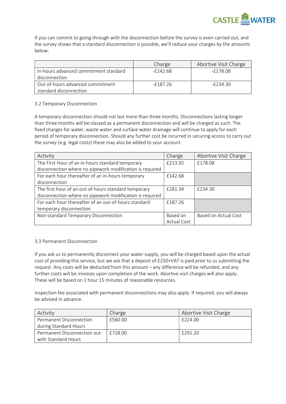

If you can commit to going through with the disconnection before the survey is even carried out, and the survey shows that a standard disconnection is possible, we'll reduce your charges by the amounts below:

|                                       | Charge      | Abortive Visit Charge |
|---------------------------------------|-------------|-----------------------|
| In-hours advanced commitment standard | $-$ f142.68 | $-F178.08$            |
| disconnection                         |             |                       |
| Out-of-hours advanced commitment      | -f187.26    | -£234.30              |
| standard disconnection                |             |                       |

## 3.2 Temporary Disconnection

A temporary disconnection should not last more than three months. Disconnections lasting longer than three months will be classed as a permanent disconnection and will be charged as such. The fixed charges for water, waste water and surface water drainage will continue to apply for each period of temporary disconnection. Should any further cost be incurred in securing access to carry out the survey (e.g. legal costs) these may also be added to your account.

| Activity                                                 | Charge             | Abortive Visit Charge |
|----------------------------------------------------------|--------------------|-----------------------|
| The First Hour of an in-hours standard temporary         | £213.92            | £178.08               |
| disconnection where no pipework modification is required |                    |                       |
| For each hour thereafter of an in-hours temporary        | £142.68            |                       |
| disconnection                                            |                    |                       |
| The first hour of an out-of-hours standard temporary     | £281.34            | £234.30               |
| disconnection where no pipework modification is required |                    |                       |
| For each hour thereafter of an out-of-hours standard     | £187.26            |                       |
| temporary disconnection                                  |                    |                       |
| Non-standard Temporary Disconnection                     | Based on           | Based on Actual Cost  |
|                                                          | <b>Actual Cost</b> |                       |

## 3.3 Permanent Disconnection

If you ask us to permanently disconnect your water supply, you will be charged based upon the actual cost of providing this service, but we ask that a deposit of £250+VAT is paid prior to us submitting the request. Any costs will be deducted from this amount – any difference will be refunded, and any further costs will be invoices upon completion of the work. Abortive visit charges will also apply. These will be based on 1 hour 15 minutes of reasonable resources.

Inspection fee associated with permanent disconnections may also apply. If required, you will always be advised in advance.

| Activity                     | Charge  | Abortive Visit Charge |
|------------------------------|---------|-----------------------|
| Permanent Disconnection      | £560.00 | £224.00               |
| during Standard Hours        |         |                       |
| Permanent Disconnection out- | £728.00 | £291.20               |
| with Standard Hours          |         |                       |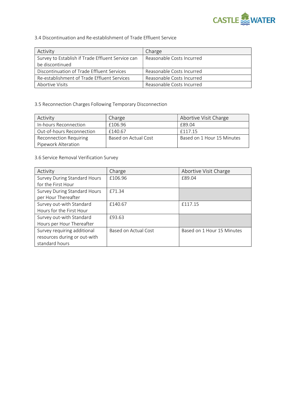

### 3.4 Discontinuation and Re-establishment of Trade Effluent Service

| Activity                                          | Charge                    |
|---------------------------------------------------|---------------------------|
| Survey to Establish if Trade Effluent Service can | Reasonable Costs Incurred |
| be discontinued                                   |                           |
| Discontinuation of Trade Effluent Services        | Reasonable Costs Incurred |
| Re-establishment of Trade Effluent Services       | Reasonable Costs Incurred |
| Abortive Visits                                   | Reasonable Costs Incurred |

## 3.5 Reconnection Charges Following Temporary Disconnection

| Activity                      | Charge               | Abortive Visit Charge      |
|-------------------------------|----------------------|----------------------------|
| In-hours Reconnection         | £106.96              | F89.04                     |
| Out-of-hours Reconnection     | £140.67              | f117.15                    |
| <b>Reconnection Requiring</b> | Based on Actual Cost | Based on 1 Hour 15 Minutes |
| Pipework Alteration           |                      |                            |

## 3.6 Service Removal Verification Survey

| Activity                     | Charge               | Abortive Visit Charge      |
|------------------------------|----------------------|----------------------------|
| Survey During Standard Hours | £106.96              | £89.04                     |
| for the First Hour           |                      |                            |
| Survey During Standard Hours | £71.34               |                            |
| per Hour Thereafter          |                      |                            |
| Survey out-with Standard     | £140.67              | £117.15                    |
| Hours for the First Hour     |                      |                            |
| Survey out-with Standard     | £93.63               |                            |
| Hours per Hour Thereafter    |                      |                            |
| Survey requiring additional  | Based on Actual Cost | Based on 1 Hour 15 Minutes |
| resources during or out-with |                      |                            |
| standard hours               |                      |                            |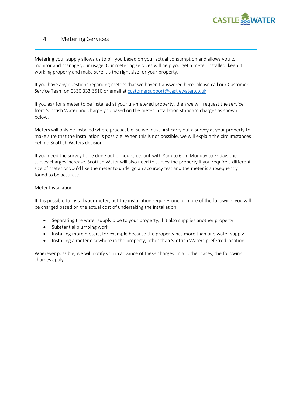

# 4 Metering Services

Metering your supply allows us to bill you based on your actual consumption and allows you to monitor and manage your usage. Our metering services will help you get a meter installed, keep it working properly and make sure it's the right size for your property.

If you have any questions regarding meters that we haven't answered here, please call our Customer Service Team on 0330 333 6510 or email at customersupport@castlewater.co.uk

If you ask for a meter to be installed at your un-metered property, then we will request the service from Scottish Water and charge you based on the meter installation standard charges as shown below.

Meters will only be installed where practicable, so we must first carry out a survey at your property to make sure that the installation is possible. When this is not possible, we will explain the circumstances behind Scottish Waters decision.

If you need the survey to be done out of hours, i.e. out-with 8am to 6pm Monday to Friday, the survey charges increase. Scottish Water will also need to survey the property if you require a different size of meter or you'd like the meter to undergo an accuracy test and the meter is subsequently found to be accurate.

#### Meter Installation

If it is possible to install your meter, but the installation requires one or more of the following, you will be charged based on the actual cost of undertaking the installation:

- Separating the water supply pipe to your property, if it also supplies another property
- Substantial plumbing work
- Installing more meters, for example because the property has more than one water supply
- Installing a meter elsewhere in the property, other than Scottish Waters preferred location

Wherever possible, we will notify you in advance of these charges. In all other cases, the following charges apply.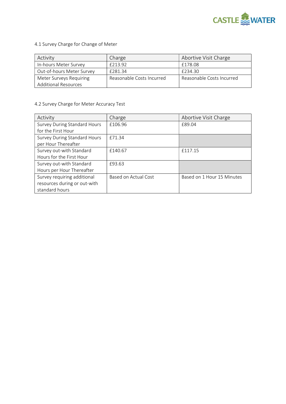

4.1 Survey Charge for Change of Meter

| Activity                    | Charge                    | Abortive Visit Charge     |
|-----------------------------|---------------------------|---------------------------|
| In-hours Meter Survey       | £213.92                   | £178.08                   |
| Out-of-hours Meter Survey   | F281.34                   | £234.30                   |
| Meter Surveys Requiring     | Reasonable Costs Incurred | Reasonable Costs Incurred |
| <b>Additional Resources</b> |                           |                           |

# 4.2 Survey Charge for Meter Accuracy Test

| Activity                            | Charge               | Abortive Visit Charge      |
|-------------------------------------|----------------------|----------------------------|
| <b>Survey During Standard Hours</b> | £106.96              | £89.04                     |
| for the First Hour                  |                      |                            |
| Survey During Standard Hours        | £71.34               |                            |
| per Hour Thereafter                 |                      |                            |
| Survey out-with Standard            | £140.67              | £117.15                    |
| Hours for the First Hour            |                      |                            |
| Survey out-with Standard            | £93.63               |                            |
| Hours per Hour Thereafter           |                      |                            |
| Survey requiring additional         | Based on Actual Cost | Based on 1 Hour 15 Minutes |
| resources during or out-with        |                      |                            |
| standard hours                      |                      |                            |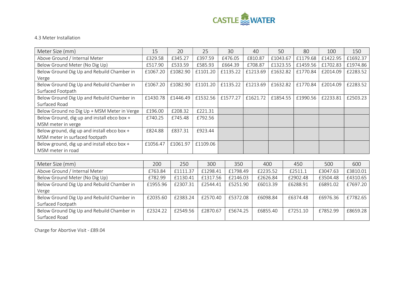

## 4.3 Meter Installation

| Meter Size (mm)                             | 15       | 20       | 25       | 30       | 40       | 50       | 80       | 100      | 150      |
|---------------------------------------------|----------|----------|----------|----------|----------|----------|----------|----------|----------|
| Above Ground / Internal Meter               | £329.58  | £345.27  | £397.59  | £476.05  | £810.87  | £1043.67 | £1179.68 | £1422.95 | £1692.37 |
| Below Ground Meter (No Dig Up)              | £517.90  | £533.59  | £585.93  | £664.39  | £708.87  | £1323.55 | £1459.56 | £1702.83 | £1974.86 |
| Below Ground Dig Up and Rebuild Chamber in  | £1067.20 | £1082.90 | £1101.20 | £1135.22 | £1213.69 | £1632.82 | £1770.84 | £2014.09 | £2283.52 |
| Verge                                       |          |          |          |          |          |          |          |          |          |
| Below Ground Dig Up and Rebuild Chamber in  | £1067.20 | £1082.90 | £1101.20 | £1135.22 | £1213.69 | £1632.82 | £1770.84 | £2014.09 | £2283.52 |
| Surfaced Footpath                           |          |          |          |          |          |          |          |          |          |
| Below Ground Dig Up and Rebuild Chamber in  | £1430.78 | £1446.49 | £1532.56 | £1577.27 | £1621.72 | £1854.55 | £1990.56 | £2233.81 | £2503.23 |
| Surfaced Road                               |          |          |          |          |          |          |          |          |          |
| Below Ground no Dig Up + MSM Meter in Verge | £196.00  | £208.32  | £221.31  |          |          |          |          |          |          |
| Below Ground, dig up and install ebco box + | £740.25  | £745.48  | £792.56  |          |          |          |          |          |          |
| MSM meter in verge                          |          |          |          |          |          |          |          |          |          |
| Below ground, dig up and install ebco box + | £824.88  | £837.31  | £923.44  |          |          |          |          |          |          |
| MSM meter in surfaced footpath              |          |          |          |          |          |          |          |          |          |
| Below ground, dig up and install ebco box + | £1056.47 | £1061.97 | £1109.06 |          |          |          |          |          |          |
| MSM meter in road                           |          |          |          |          |          |          |          |          |          |

| Meter Size (mm)                            | 200      | 250      | 300      | 350      | 400      | 450      | 500      | 600      |
|--------------------------------------------|----------|----------|----------|----------|----------|----------|----------|----------|
| Above Ground / Internal Meter              | £763.84  | £1111.37 | £1298.41 | £1798.49 | £2235.52 | £2511.1  | £3047.63 | £3810.01 |
| Below Ground Meter (No Dig Up)             | £782.99  | £1130.41 | £1317.56 | £2146.03 | £2626.84 | £2902.48 | £3504.48 | £4310.65 |
| Below Ground Dig Up and Rebuild Chamber in | £1955.96 | £2307.31 | £2544.41 | £5251.90 | £6013.39 | £6288.91 | £6891.02 | £7697.20 |
| Verge                                      |          |          |          |          |          |          |          |          |
| Below Ground Dig Up and Rebuild Chamber in | £2035.60 | £2383.24 | £2570.40 | £5372.08 | £6098.84 | £6374.48 | £6976.36 | £7782.65 |
| Surfaced Footpath                          |          |          |          |          |          |          |          |          |
| Below Ground Dig Up and Rebuild Chamber in | £2324.22 | £2549.56 | £2870.67 | £5674.25 | £6855.40 | £7251.10 | £7852.99 | £8659.28 |
| Surfaced Road                              |          |          |          |          |          |          |          |          |

Charge for Abortive Visit - £89.04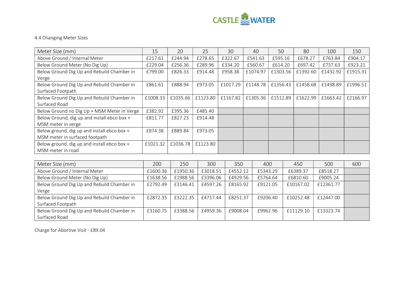

## 4.4 Changing Meter Sizes

| Meter Size (mm)                             | 15       | 20       | 25       | 30       | 40       | 50       | 80       | 100      | 150      |
|---------------------------------------------|----------|----------|----------|----------|----------|----------|----------|----------|----------|
| Above Ground / Internal Meter               | £217.61  | £244.94  | £278.65  | £322.67  | £541.63  | £595.16  | £678.27  | £763.84  | £904.17  |
| Below Ground Meter (No Dig Up)              | £229.04  | £256.36  | £289.96  | £334.20  | £560.67  | £614.20  | £697.42  | £737.63  | £923.21  |
| Below Ground Dig Up and Rebuild Chamber in  | £799.00  | £826.33  | £914.48  | £958.38  | £1074.97 | £1303.56 | £1392.60 | £1432.92 | £1915.31 |
| Verge                                       |          |          |          |          |          |          |          |          |          |
| Below Ground Dig Up and Rebuild Chamber in  | £861.61  | £888.94  | £973.05  | £1017.29 | £1148.78 | £1356.43 | £1458.68 | £1498.89 | £1996.51 |
| Surfaced Footpath                           |          |          |          |          |          |          |          |          |          |
| Below Ground Dig Up and Rebuild Chamber in  | £1008.33 | £1035.66 | £1123.80 | £1167.82 | £1305.36 | £1512.89 | £1622.99 | £1663.42 | £2166.97 |
| Surfaced Road                               |          |          |          |          |          |          |          |          |          |
| Below Ground no Dig Up + MSM Meter in Verge | £382.92  | £395.36  | £485.40  |          |          |          |          |          |          |
| Below Ground, dig up and install ebco box + | £811.77  | £827.23  | £914.48  |          |          |          |          |          |          |
| MSM meter in verge                          |          |          |          |          |          |          |          |          |          |
| Below ground, dig up and install ebco box + | £874.38  | £889.84  | £973.05  |          |          |          |          |          |          |
| MSM meter in surfaced footpath              |          |          |          |          |          |          |          |          |          |
| Below ground, dig up and install ebco box + | £1021.32 | £1036.78 | £1123.80 |          |          |          |          |          |          |
| MSM meter in road                           |          |          |          |          |          |          |          |          |          |

| Meter Size (mm)                            | 200      | 250      | 300      | 350      | 400      | 450       | 500       | 600 |
|--------------------------------------------|----------|----------|----------|----------|----------|-----------|-----------|-----|
| Above Ground / Internal Meter              | £1600.36 | £1950.36 | £3018.51 | £4552.12 | £5343.29 | £6389.37  | £8518.27  |     |
| Below Ground Meter (No Dig Up)             | £1638.56 | £1988.56 | £3396.06 | £4929.56 | £5764.64 | £6810.60  | £9005.24  |     |
| Below Ground Dig Up and Rebuild Chamber in | £2792.49 | £3146.41 | £4597.26 | £8165.92 | £9121.05 | £10167.02 | £12361.77 |     |
| Verge                                      |          |          |          |          |          |           |           |     |
| Below Ground Dig Up and Rebuild Chamber in | £2872.35 | £3222.35 | £4717.44 | £8251.37 | £9206.40 | £10252.48 | £12447.00 |     |
| Surfaced Footpath                          |          |          |          |          |          |           |           |     |
| Below Ground Dig Up and Rebuild Chamber in | £3160.75 | £3388.56 | £4959.36 | £9008.04 | £9962.96 | £11129.10 | £13323.74 |     |
| Surfaced Road                              |          |          |          |          |          |           |           |     |

Charge for Abortive Visit - £89.04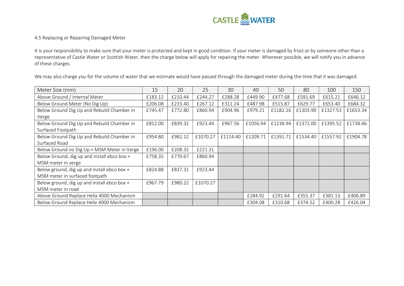

### 4.5 Replacing or Repairing Damaged Meter

It is your responsibility to make sure that your meter is protected and kept in good condition. If your meter is damaged by frost or by someone other than a representative of Castle Water or Scottish Water, then the charge below will apply for repairing the meter. Wherever possible, we will notify you in advance of these charges.

We may also charge you for the volume of water that we estimate would have passed through the damaged meter during the time that it was damaged.

| Meter Size (mm)                             | 15      | 20      | 25       | 30       | 40       | 50       | 80       | 100      | 150      |
|---------------------------------------------|---------|---------|----------|----------|----------|----------|----------|----------|----------|
| Above Ground / Internal Meter               | £183.12 | £210.44 | £244.27  | £288.28  | £449.90  | £477.68  | £591.69  | £615.21  | £646.12  |
| Below Ground Meter (No Dig Up)              | £206.08 | £233.40 | £267.12  | £311.24  | £487.98  | £515.87  | £629.77  | £653.40  | £684.32  |
| Below Ground Dig Up and Rebuild Chamber in  | £745.47 | £772.80 | £860.94  | £904.96  | £979.21  | £1182.16 | £1303.90 | £1327.53 | £1653.34 |
| Verge                                       |         |         |          |          |          |          |          |          |          |
| Below Ground Dig Up and Rebuild Chamber in  | £812.00 | £839.32 | £923.44  | £967.56  | £1056.94 | £1238.94 | £1372.00 | £1395.52 | £1738.46 |
| Surfaced Footpath                           |         |         |          |          |          |          |          |          |          |
| Below Ground Dig Up and Rebuild Chamber in  | £954.80 | £982.12 | £1070.27 | £1114.40 | £1209.71 | £1391.71 | £1534.40 | £1557.92 | £1904.78 |
| Surfaced Road                               |         |         |          |          |          |          |          |          |          |
| Below Ground no Dig Up + MSM Meter in Verge | £196.00 | £208.32 | £221.31  |          |          |          |          |          |          |
| Below Ground, dig up and install ebco box + | £758.35 | £770.67 | £860.94  |          |          |          |          |          |          |
| MSM meter in verge                          |         |         |          |          |          |          |          |          |          |
| Below ground, dig up and install ebco box + | £824.88 | £837.31 | £923.44  |          |          |          |          |          |          |
| MSM meter in surfaced footpath              |         |         |          |          |          |          |          |          |          |
| Below ground, dig up and install ebco box + | £967.79 | £980.22 | £1070.27 |          |          |          |          |          |          |
| MSM meter in road                           |         |         |          |          |          |          |          |          |          |
| Above Ground Replace Helix 4000 Mechanism   |         |         |          |          | £284.92  | £291.64  | £355.37  | £381.13  | £406.89  |
| Below Ground Replace Helix 4000 Mechanism   |         |         |          |          | £304.08  | £310.68  | £374.52  | £400.28  | £426.04  |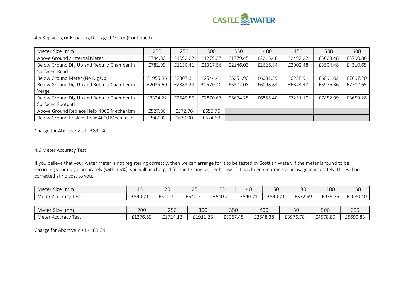

## 4.5 Replacing or Repairing Damaged Meter (Continued)

| Meter Size (mm)                            | 200      | 250      | 300      | 350      | 400      | 450      | 500      | 600      |
|--------------------------------------------|----------|----------|----------|----------|----------|----------|----------|----------|
| Above Ground / Internal Meter              | £744.80  | £1092.22 | £1279.37 | £1779.45 | £2216.48 | £2492.22 | £3028.48 | £3790.86 |
| Below Ground Dig Up and Rebuild Chamber in | £782.99  | £1130.41 | £1317.56 | £2146.03 | £2626.84 | £2902.48 | £3504.48 | £4310.65 |
| Surfaced Road                              |          |          |          |          |          |          |          |          |
| Below Ground Meter (No Dig Up)             | £1955.96 | £2307.31 | £2544.41 | £5251.90 | £6031.39 | £6288.91 | £6891.02 | £7697.20 |
| Below Ground Dig Up and Rebuild Chamber in | £2035.60 | £2383.24 | £2570.40 | £5372.08 | £6098.84 | £6374.48 | £3976.36 | £7782.65 |
| Verge                                      |          |          |          |          |          |          |          |          |
| Below Ground Dig Up and Rebuild Chamber in | £2324.22 | £2549.56 | £2870.67 | £5674.25 | £6855.40 | £7251.10 | £7852.99 | £8659.28 |
| Surfaced Footpath                          |          |          |          |          |          |          |          |          |
| Above Ground Replace Helix 4000 Mechanism  | £527.96  | £572.76  | £655.76  |          |          |          |          |          |
| Below Ground Replace Helix 4000 Mechanism  | £547.00  | £630.00  | £674.68  |          |          |          |          |          |

Charge for Abortive Visit - £89.04

#### 4.6 Meter Accuracy Test

If you believe that your water meter is not registering correctly, then we can arrange for it to be tested by Scottish Water. If the meter is found to be recording your usage accurately (within 5%), you will be charged for the testing, as per below. If it has been recording your usage inaccurately, this will be corrected at no cost to you.

| $\sim$<br>Meter .<br>Size<br>(mm) | --                                        | $\overline{C}$<br>$\sim$ | $\sim$ $-$<br>_ _ | $\Omega$<br>οU | 40      | <b>50</b>                                   | 8C                  | 100     | $1 - 0$<br>ᅩ◡◡ |
|-----------------------------------|-------------------------------------------|--------------------------|-------------------|----------------|---------|---------------------------------------------|---------------------|---------|----------------|
| Meter,<br>l est<br>Accuracy       | $\rightarrow$<br>$C = 10$<br>⊥⊃4!்<br>⊤∪. | £540.71                  | £540.71           | £540.71        | £540.71 | $\overline{\phantom{a}}$<br>$-540$<br>rv. / | F877<br>LO.<br>72.J | £936.76 | £1030.40       |

| $\sim$<br>Meter<br>(mm<br>Size                     | 200                                                             | 750<br>∠⊃∪           | 300                       | $\cap$ $\cap$<br>ouc                      | 400                             | Δ.<br>437                | 500      | $\sim$<br>טטט |
|----------------------------------------------------|-----------------------------------------------------------------|----------------------|---------------------------|-------------------------------------------|---------------------------------|--------------------------|----------|---------------|
| natar ا<br>$AC^*$<br>Accuracy<br><b>TVIET</b><br>ັ | 0.127C<br>$ \sim$<br>$\overline{\phantom{a}}$<br>, o.o.<br>---- | 0.170112<br>£1/24.12 | $-1$ -11.28 $\frac{1}{2}$ | £3067<br>$\overline{\phantom{0}}$<br>45.′ | $\cap$ $\cap$<br>}548.38<br>–⊃— | £2Q767R<br>ں رے<br>10.10 | £4578.89 | £5690.83      |

Charge for Abortive Visit - £89.04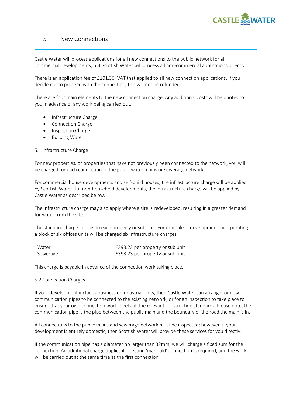

# 5 New Connections

Castle Water will process applications for all new connections to the public network for all commercial developments, but Scottish Water will process all non-commercial applications directly.

There is an application fee of £101.36+VAT that applied to all new connection applications. If you decide not to proceed with the connection, this will not be refunded.

There are four main elements to the new connection charge. Any additional costs will be quotes to you in advance of any work being carried out.

- Infrastructure Charge
- Connection Charge
- Inspection Charge
- Building Water

#### 5.1 Infrastructure Charge

For new properties, or properties that have not previously been connected to the network, you will be charged for each connection to the public water mains or sewerage network.

For commercial house developments and self-build houses, the infrastructure charge will be applied by Scottish Water; for non-household developments, the infrastructure charge will be applied by Castle Water as described below.

The infrastructure charge may also apply where a site is redeveloped, resulting in a greater demand for water from the site.

The standard charge applies to each property or sub unit. For example, a development incorporating a block of six offices units will be charged six infrastructure charges.

| Water    | £393.23 per property or sub unit |
|----------|----------------------------------|
| Sewerage | £393.23 per property or sub unit |

This charge is payable in advance of the connection work taking place.

#### 5.2 Connection Charges

If your development includes business or industrial units, then Castle Water can arrange for new communication pipes to be connected to the existing network, or for an inspection to take place to ensure that your own connection work meets all the relevant construction standards. Please note, the communication pipe is the pipe between the public main and the boundary of the road the main is in.

All connections to the public mains and sewerage network must be inspected; however, if your development is entirely domestic, then Scottish Water will provide these services for you directly.

If the communication pipe has a diameter no larger than 32mm, we will charge a fixed sum for the connection. An additional charge applies if a second 'manifold' connection is required, and the work will be carried out at the same time as the first connection.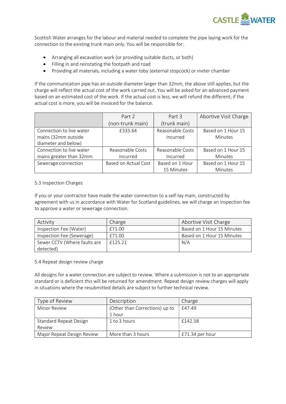

Scottish Water arranges for the labour and material needed to complete the pipe laying work for the connection to the existing trunk main only. You will be responsible for:

- Arranging all excavation work (or providing suitable ducts, or both)
- Filling in and reinstating the footpath and road
- Providing all materials, including a water toby (external stopcock) or meter chamber

If the communication pipe has an outside diameter larger than 32mm, the above still applies, but the charge will reflect the actual cost of the work carried out. You will be asked for an advanced payment based on an estimated cost of the work. If the actual cost is less, we will refund the different; if the actual cost is more, you will be invoiced for the balance.

|                          | Part 2               | Part 3           | Abortive Visit Charge |
|--------------------------|----------------------|------------------|-----------------------|
|                          | (non-trunk main)     | (trunk main)     |                       |
| Connection to live water | £333.64              | Reasonable Costs | Based on 1 Hour 15    |
| mains (32mm outside      |                      | Incurred         | <b>Minutes</b>        |
| diameter and below)      |                      |                  |                       |
| Connection to live water | Reasonable Costs     | Reasonable Costs | Based on 1 Hour 15    |
| mains greater than 32mm  | Incurred             | Incurred         | <b>Minutes</b>        |
| Sewerage connection      | Based on Actual Cost | Based on 1 Hour  | Based on 1 Hour 15    |
|                          |                      | 15 Minutes       | Minutes               |

#### 5.3 Inspection Charges

If you or your contractor have made the water connection to a self-lay main, constructed by agreement with us in accordance with Water for Scotland guidelines, we will charge an inspection fee to approve a water or sewerage connection.

| Activity                     | Charge  | Abortive Visit Charge      |
|------------------------------|---------|----------------------------|
| Inspection Fee (Water)       | £71.00  | Based on 1 Hour 15 Minutes |
| Inspection Fee (Sewerage)    | £71.00  | Based on 1 Hour 15 Minutes |
| Sewer CCTV (Where faults are | £125.21 | N/A                        |
| detected)                    |         |                            |

#### 5.4 Repeat design review charge

All designs for a water connection are subject to review. Where a submission is not to an appropriate standard or is deficient this will be returned for amendment. Repeat design review charges will apply in situations where the resubmitted details are subject to further technical review.

| Type of Review                | Description                    | Charge            |
|-------------------------------|--------------------------------|-------------------|
| Minor Review                  | (Other than Corrections) up to | £47.49            |
|                               | 1 hour                         |                   |
| <b>Standard Repeat Design</b> | 1 to 3 hours                   | £142.58           |
| Review                        |                                |                   |
| Major Repeat Design Review    | More than 3 hours              | $£71.34$ per hour |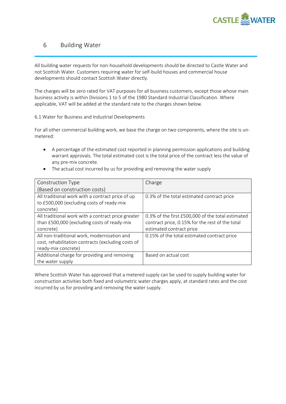

# 6 Building Water

All building water requests for non-household developments should be directed to Castle Water and not Scottish Water. Customers requiring water for self-build houses and commercial house developments should contact Scottish Water directly.

The charges will be zero rated for VAT purposes for all business customers, except those whose main business activity is within Divisions 1 to 5 of the 1980 Standard Industrial Classification. Where applicable, VAT will be added at the standard rate to the charges shown below.

6.1 Water for Business and Industrial Developments

For all other commercial building work, we base the charge on two components, where the site is unmetered:

- A percentage of the estimated cost reported in planning permission applications and building warrant approvals. The total estimated cost is the total price of the contract less the value of any pre-mix concrete.
- The actual cost incurred by us for providing and removing the water supply

| Construction Type                                  | Charge                                            |
|----------------------------------------------------|---------------------------------------------------|
| (Based on construction costs)                      |                                                   |
| All traditional work with a contract price of up   | 0.3% of the total estimated contract price        |
| to £500,000 (excluding costs of ready-mix          |                                                   |
| concrete)                                          |                                                   |
| All traditional work with a contract price greater | 0.3% of the first £500,000 of the total estimated |
| than £500,000 (excluding costs of ready-mix        | contract price, 0.15% for the rest of the total   |
| concrete)                                          | estimated contract price                          |
| All non-traditional work, modernisation and        | 0.15% of the total estimated contract price       |
| cost, rehabilitation contracts (excluding costs of |                                                   |
| ready-mix concrete)                                |                                                   |
| Additional charge for providing and removing       | Based on actual cost                              |
| the water supply                                   |                                                   |

Where Scottish Water has approved that a metered supply can be used to supply building water for construction activities both fixed and volumetric water charges apply, at standard rates and the cost incurred by us for providing and removing the water supply.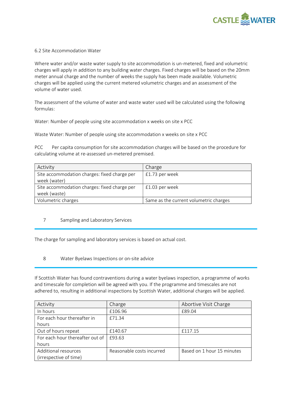

#### 6.2 Site Accommodation Water

Where water and/or waste water supply to site accommodation is un-metered, fixed and volumetric charges will apply in addition to any building water charges. Fixed charges will be based on the 20mm meter annual charge and the number of weeks the supply has been made available. Volumetric charges will be applied using the current metered volumetric charges and an assessment of the volume of water used.

The assessment of the volume of water and waste water used will be calculated using the following formulas:

Water: Number of people using site accommodation x weeks on site x PCC

Waste Water: Number of people using site accommodation x weeks on site x PCC

PCC Per capita consumption for site accommodation charges will be based on the procedure for calculating volume at re-assessed un-metered premised.

| Activity                                     | Charge                                 |
|----------------------------------------------|----------------------------------------|
| Site accommodation charges: fixed charge per | £1.73 per week                         |
| week (water)                                 |                                        |
| Site accommodation charges: fixed charge per | £1.03 per week                         |
| week (waste)                                 |                                        |
| Volumetric charges                           | Same as the current volumetric charges |

#### 7 Sampling and Laboratory Services

The charge for sampling and laboratory services is based on actual cost.

8 Water Byelaws Inspections or on-site advice

If Scottish Water has found contraventions during a water byelaws inspection, a programme of works and timescale for completion will be agreed with you. If the programme and timescales are not adhered to, resulting in additional inspections by Scottish Water, additional charges will be applied.

| Activity                        | Charge                    | Abortive Visit Charge      |
|---------------------------------|---------------------------|----------------------------|
| In hours                        | £106.96                   | £89.04                     |
| For each hour thereafter in     | £71.34                    |                            |
| hours                           |                           |                            |
| Out of hours repeat             | £140.67                   | £117.15                    |
| For each hour thereafter out of | £93.63                    |                            |
| hours                           |                           |                            |
| Additional resources            | Reasonable costs incurred | Based on 1 hour 15 minutes |
| (irrespective of time)          |                           |                            |